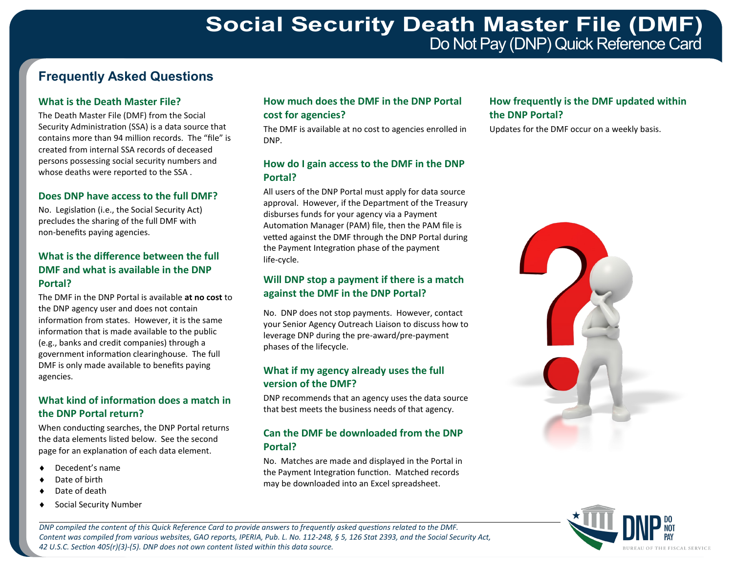# **Frequently Asked Questions**

#### **What is the Death Master File?**

The Death Master File (DMF) from the Social Security Administration (SSA) is a data source that contains more than 94 million records. The "file" is created from internal SSA records of deceased persons possessing social security numbers and whose deaths were reported to the SSA .

#### **Does DNP have access to the full DMF?**

No. Legislation (i.e., the Social Security Act) precludes the sharing of the full DMF with non-benefits paying agencies.

#### **What is the difference between the full DMF and what is available in the DNP Portal?**

The DMF in the DNP Portal is available **at no cost** to the DNP agency user and does not contain information from states. However, it is the same information that is made available to the public (e.g., banks and credit companies) through a government information clearinghouse. The full DMF is only made available to benefits paying agencies.

#### **What kind of information does a match in the DNP Portal return?**

When conducting searches, the DNP Portal returns the data elements listed below. See the second page for an explanation of each data element.

- Decedent's name
- Date of birth
- Date of death
- Social Security Number

#### **How much does the DMF in the DNP Portal cost for agencies?**

The DMF is available at no cost to agencies enrolled in DNP.

#### **How do I gain access to the DMF in the DNP Portal?**

All users of the DNP Portal must apply for data source approval. However, if the Department of the Treasury disburses funds for your agency via a Payment Automation Manager (PAM) file, then the PAM file is vetted against the DMF through the DNP Portal during the Payment Integration phase of the payment life-cycle.

#### **Will DNP stop a payment if there is a match against the DMF in the DNP Portal?**

No. DNP does not stop payments. However, contact your Senior Agency Outreach Liaison to discuss how to leverage DNP during the pre-award/pre-payment phases of the lifecycle.

#### **What if my agency already uses the full version of the DMF?**

DNP recommends that an agency uses the data source that best meets the business needs of that agency.

#### **Can the DMF be downloaded from the DNP Portal?**

No. Matches are made and displayed in the Portal in the Payment Integration function. Matched records may be downloaded into an Excel spreadsheet.

### **How frequently is the DMF updated within the DNP Portal?**

Updates for the DMF occur on a weekly basis.





*DNP compiled the content of this Quick Reference Card to provide answers to frequently asked questions related to the DMF. Content was compiled from various websites, GAO reports, IPERIA, Pub. L. No. 112-248, § 5, 126 Stat 2393, and the Social Security Act, 42 U.S.C. Section 405(r)(3)-(5). DNP does not own content listed within this data source.*